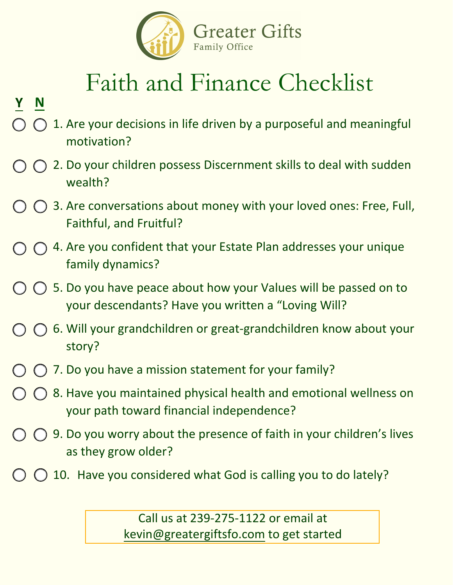

## Faith and Finance Checklist

## **Y N**

- 1. Are your decisions in life driven by a purposeful and meaningful motivation?
- $\bigcirc$  2. Do your children possess Discernment skills to deal with sudden wealth?
- $\bigcap$   $\bigcap$  3. Are conversations about money with your loved ones: Free, Full, Faithful, and Fruitful?
- $\bigcap$   $\bigcap$  4. Are you confident that your Estate Plan addresses your unique family dynamics?
- $\bigcirc$   $\bigcirc$  5. Do you have peace about how your Values will be passed on to your descendants? Have you written a "Loving Will?
- $\bigcap$  6. Will your grandchildren or great-grandchildren know about your story?
- $\bigcirc$  7. Do you have a mission statement for your family?
- $\bigcap$  8. Have you maintained physical health and emotional wellness on your path toward financial independence?
- $\bigcirc$   $\bigcirc$  9. Do you worry about the presence of faith in your children's lives as they grow older?
- $\bigcirc$  10. Have you considered what God is calling you to do lately?

Call us at 239-275-1122 or email at [kevin@greatergiftsfo.com to get started](https://mackegreater.wpengine.com/consultation/)